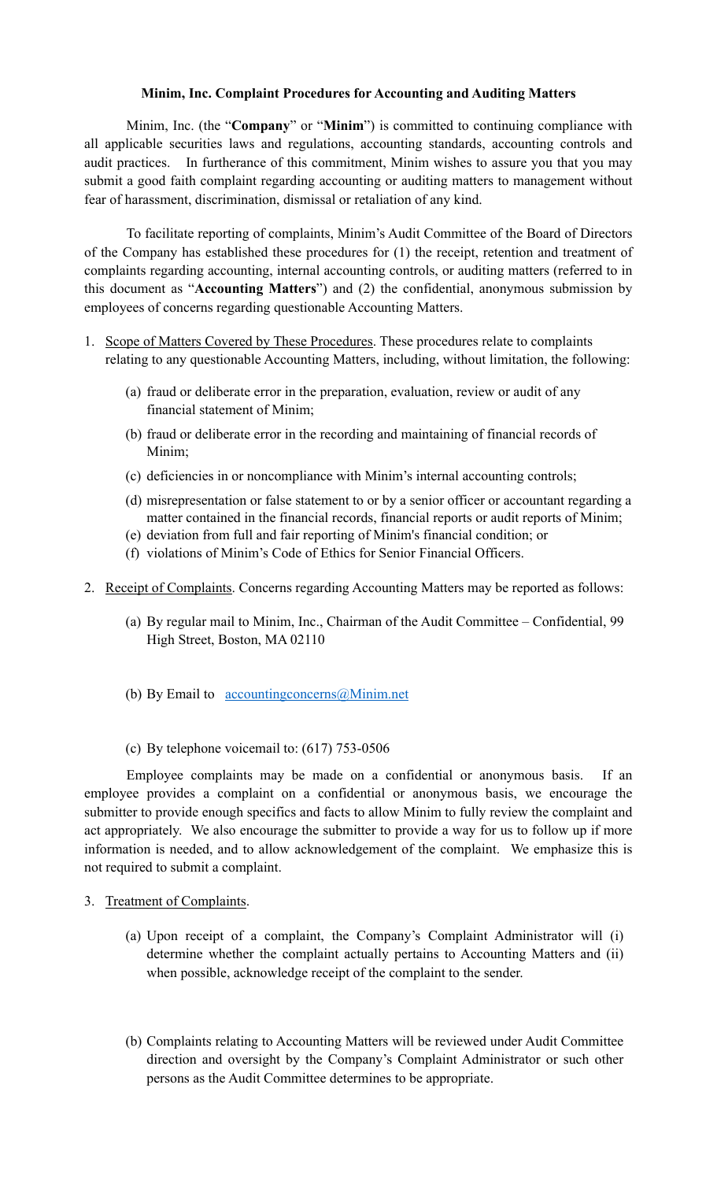## **Minim, Inc. Complaint Procedures for Accounting and Auditing Matters**

Minim, Inc. (the "**Company**" or "**Minim**") is committed to continuing compliance with all applicable securities laws and regulations, accounting standards, accounting controls and audit practices. In furtherance of this commitment, Minim wishes to assure you that you may submit a good faith complaint regarding accounting or auditing matters to management without fear of harassment, discrimination, dismissal or retaliation of any kind.

To facilitate reporting of complaints, Minim's Audit Committee of the Board of Directors of the Company has established these procedures for (1) the receipt, retention and treatment of complaints regarding accounting, internal accounting controls, or auditing matters (referred to in this document as "**Accounting Matters**") and (2) the confidential, anonymous submission by employees of concerns regarding questionable Accounting Matters.

- 1. Scope of Matters Covered by These Procedures. These procedures relate to complaints relating to any questionable Accounting Matters, including, without limitation, the following:
	- (a) fraud or deliberate error in the preparation, evaluation, review or audit of any financial statement of Minim;
	- (b) fraud or deliberate error in the recording and maintaining of financial records of Minim;
	- (c) deficiencies in or noncompliance with Minim's internal accounting controls;
	- (d) misrepresentation or false statement to or by a senior officer or accountant regarding a matter contained in the financial records, financial reports or audit reports of Minim;
	- (e) deviation from full and fair reporting of Minim's financial condition; or
	- (f) violations of Minim's Code of Ethics for Senior Financial Officers.
- 2. Receipt of Complaints. Concerns regarding Accounting Matters may be reported as follows:
	- (a) By regular mail to Minim, Inc., Chairman of the Audit Committee Confidential, 99 High Street, Boston, MA 02110
	- (b) By Email to <u>[accountingconcerns@Minim.net](mailto:accountingconcerns@Minim.net)</u>
	- (c) By telephone voicemail to: (617) 753-0506

Employee complaints may be made on a confidential or anonymous basis. If an employee provides a complaint on a confidential or anonymous basis, we encourage the submitter to provide enough specifics and facts to allow Minim to fully review the complaint and act appropriately. We also encourage the submitter to provide a way for us to follow up if more information is needed, and to allow acknowledgement of the complaint. We emphasize this is not required to submit a complaint.

- 3. Treatment of Complaints.
	- (a) Upon receipt of a complaint, the Company's Complaint Administrator will (i) determine whether the complaint actually pertains to Accounting Matters and (ii) when possible, acknowledge receipt of the complaint to the sender.
	- (b) Complaints relating to Accounting Matters will be reviewed under Audit Committee direction and oversight by the Company's Complaint Administrator or such other persons as the Audit Committee determines to be appropriate.